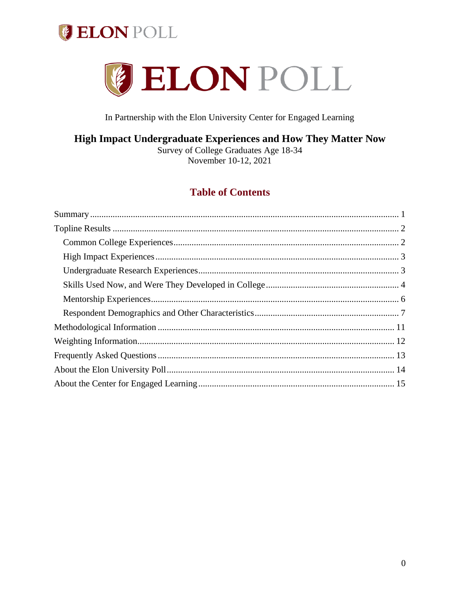



In Partnership with the Elon University Center for Engaged Learning

## High Impact Undergraduate Experiences and How They Matter Now

Survey of College Graduates Age 18-34 November 10-12, 2021

# **Table of Contents**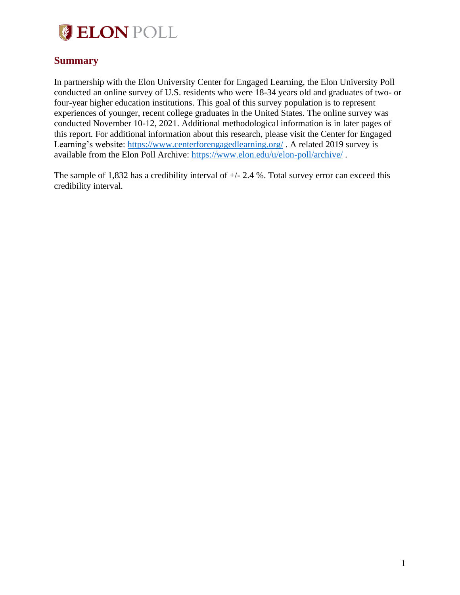

## <span id="page-1-0"></span>**Summary**

In partnership with the Elon University Center for Engaged Learning, the Elon University Poll conducted an online survey of U.S. residents who were 18-34 years old and graduates of two- or four-year higher education institutions. This goal of this survey population is to represent experiences of younger, recent college graduates in the United States. The online survey was conducted November 10-12, 2021. Additional methodological information is in later pages of this report. For additional information about this research, please visit the Center for Engaged Learning's website:<https://www.centerforengagedlearning.org/>. A related 2019 survey is available from the Elon Poll Archive:<https://www.elon.edu/u/elon-poll/archive/> .

The sample of 1,832 has a credibility interval of  $+/- 2.4$  %. Total survey error can exceed this credibility interval.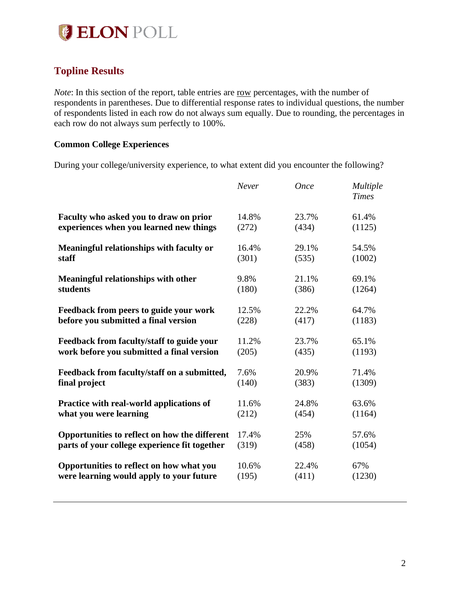

# <span id="page-2-0"></span>**Topline Results**

*Note*: In this section of the report, table entries are row percentages, with the number of respondents in parentheses. Due to differential response rates to individual questions, the number of respondents listed in each row do not always sum equally. Due to rounding, the percentages in each row do not always sum perfectly to 100%.

## <span id="page-2-1"></span>**Common College Experiences**

During your college/university experience, to what extent did you encounter the following?

|                                               | Never | <b>Once</b> | Multiple<br><b>Times</b> |
|-----------------------------------------------|-------|-------------|--------------------------|
| Faculty who asked you to draw on prior        | 14.8% | 23.7%       | 61.4%                    |
| experiences when you learned new things       | (272) | (434)       | (1125)                   |
| Meaningful relationships with faculty or      | 16.4% | 29.1%       | 54.5%                    |
| staff                                         | (301) | (535)       | (1002)                   |
| <b>Meaningful relationships with other</b>    | 9.8%  | 21.1%       | 69.1%                    |
| students                                      | (180) | (386)       | (1264)                   |
| Feedback from peers to guide your work        | 12.5% | 22.2%       | 64.7%                    |
| before you submitted a final version          | (228) | (417)       | (1183)                   |
| Feedback from faculty/staff to guide your     | 11.2% | 23.7%       | 65.1%                    |
| work before you submitted a final version     | (205) | (435)       | (1193)                   |
| Feedback from faculty/staff on a submitted,   | 7.6%  | 20.9%       | 71.4%                    |
| final project                                 | (140) | (383)       | (1309)                   |
| Practice with real-world applications of      | 11.6% | 24.8%       | 63.6%                    |
| what you were learning                        | (212) | (454)       | (1164)                   |
| Opportunities to reflect on how the different | 17.4% | 25%         | 57.6%                    |
| parts of your college experience fit together | (319) | (458)       | (1054)                   |
| Opportunities to reflect on how what you      | 10.6% | 22.4%       | 67%                      |
| were learning would apply to your future      | (195) | (411)       | (1230)                   |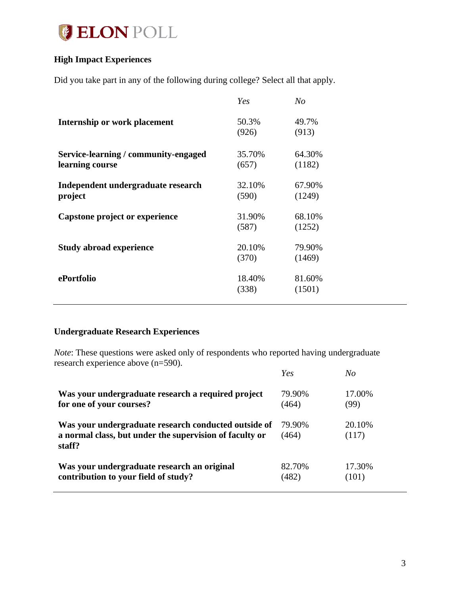

## <span id="page-3-0"></span>**High Impact Experiences**

Did you take part in any of the following during college? Select all that apply.

|                                                         | Yes             | No               |
|---------------------------------------------------------|-----------------|------------------|
| Internship or work placement                            | 50.3%<br>(926)  | 49.7%<br>(913)   |
| Service-learning / community-engaged<br>learning course | 35.70%<br>(657) | 64.30%<br>(1182) |
| Independent undergraduate research<br>project           | 32.10%<br>(590) | 67.90%<br>(1249) |
| Capstone project or experience                          | 31.90%<br>(587) | 68.10%<br>(1252) |
| <b>Study abroad experience</b>                          | 20.10%<br>(370) | 79.90%<br>(1469) |
| ePortfolio                                              | 18.40%<br>(338) | 81.60%<br>(1501) |

## <span id="page-3-1"></span>**Undergraduate Research Experiences**

*Note*: These questions were asked only of respondents who reported having undergraduate research experience above (n=590).

|                                                                                                                           | Yes             | No               |
|---------------------------------------------------------------------------------------------------------------------------|-----------------|------------------|
| Was your undergraduate research a required project                                                                        | 79.90%          | 17.00%           |
| for one of your courses?                                                                                                  | (464)           | (99)             |
| Was your undergraduate research conducted outside of<br>a normal class, but under the supervision of faculty or<br>staff? | 79.90%<br>(464) | 20.10\%<br>(117) |
| Was your undergraduate research an original                                                                               | 82.70%          | 17.30%           |
| contribution to your field of study?                                                                                      | (482)           | (101)            |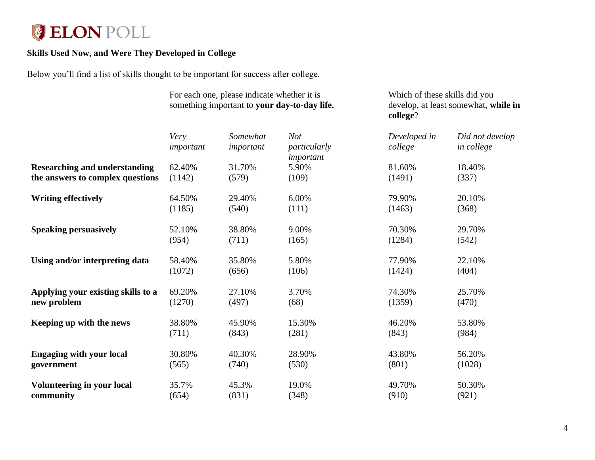# **ELON POLL**

## **Skills Used Now, and Were They Developed in College**

Below you'll find a list of skills thought to be important for success after college.

<span id="page-4-0"></span>

|                                      | For each one, please indicate whether it is<br>something important to your day-to-day life. |           | Which of these skills did you<br>develop, at least somewhat, while in<br>college? |              |                 |
|--------------------------------------|---------------------------------------------------------------------------------------------|-----------|-----------------------------------------------------------------------------------|--------------|-----------------|
|                                      | Very                                                                                        | Somewhat  | <b>Not</b>                                                                        | Developed in | Did not develop |
|                                      | important                                                                                   | important | particularly<br>important                                                         | college      | in college      |
| <b>Researching and understanding</b> | 62.40%                                                                                      | 31.70%    | 5.90%                                                                             | 81.60%       | 18.40%          |
| the answers to complex questions     | (1142)                                                                                      | (579)     | (109)                                                                             | (1491)       | (337)           |
| <b>Writing effectively</b>           | 64.50%                                                                                      | 29.40%    | 6.00%                                                                             | 79.90%       | 20.10%          |
|                                      | (1185)                                                                                      | (540)     | (111)                                                                             | (1463)       | (368)           |
| <b>Speaking persuasively</b>         | 52.10%                                                                                      | 38.80%    | 9.00%                                                                             | 70.30%       | 29.70%          |
|                                      | (954)                                                                                       | (711)     | (165)                                                                             | (1284)       | (542)           |
| Using and/or interpreting data       | 58.40%                                                                                      | 35.80%    | 5.80%                                                                             | 77.90%       | 22.10%          |
|                                      | (1072)                                                                                      | (656)     | (106)                                                                             | (1424)       | (404)           |
| Applying your existing skills to a   | 69.20%                                                                                      | 27.10%    | 3.70%                                                                             | 74.30%       | 25.70%          |
| new problem                          | (1270)                                                                                      | (497)     | (68)                                                                              | (1359)       | (470)           |
| Keeping up with the news             | 38.80%                                                                                      | 45.90%    | 15.30%                                                                            | 46.20%       | 53.80%          |
|                                      | (711)                                                                                       | (843)     | (281)                                                                             | (843)        | (984)           |
| <b>Engaging with your local</b>      | 30.80%                                                                                      | 40.30%    | 28.90%                                                                            | 43.80%       | 56.20%          |
| government                           | (565)                                                                                       | (740)     | (530)                                                                             | (801)        | (1028)          |
| <b>Volunteering in your local</b>    | 35.7%                                                                                       | 45.3%     | 19.0%                                                                             | 49.70%       | 50.30%          |
| community                            | (654)                                                                                       | (831)     | (348)                                                                             | (910)        | (921)           |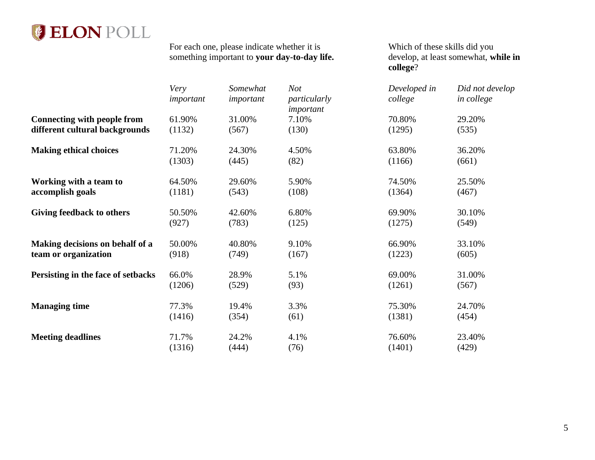

For each one, please indicate whether it is something important to **your day-to-day life.** Which of these skills did you develop, at least somewhat, **while in college**?

|                                    | Very<br>important | Somewhat<br>important | <b>Not</b><br>particularly<br>important | Developed in<br>college | Did not develop<br>in college |
|------------------------------------|-------------------|-----------------------|-----------------------------------------|-------------------------|-------------------------------|
| <b>Connecting with people from</b> | 61.90%            | 31.00%                | 7.10%                                   | 70.80%                  | 29.20%                        |
| different cultural backgrounds     | (1132)            | (567)                 | (130)                                   | (1295)                  | (535)                         |
| <b>Making ethical choices</b>      | 71.20%            | 24.30%                | 4.50%                                   | 63.80%                  | 36.20%                        |
|                                    | (1303)            | (445)                 | (82)                                    | (1166)                  | (661)                         |
| Working with a team to             | 64.50%            | 29.60%                | 5.90%                                   | 74.50%                  | 25.50%                        |
| accomplish goals                   | (1181)            | (543)                 | (108)                                   | (1364)                  | (467)                         |
| Giving feedback to others          | 50.50%            | 42.60%                | 6.80%                                   | 69.90%                  | 30.10%                        |
|                                    | (927)             | (783)                 | (125)                                   | (1275)                  | (549)                         |
| Making decisions on behalf of a    | 50.00%            | 40.80%                | 9.10%                                   | 66.90%                  | 33.10%                        |
| team or organization               | (918)             | (749)                 | (167)                                   | (1223)                  | (605)                         |
| Persisting in the face of setbacks | 66.0%             | 28.9%                 | 5.1%                                    | 69.00%                  | 31.00%                        |
|                                    | (1206)            | (529)                 | (93)                                    | (1261)                  | (567)                         |
| <b>Managing time</b>               | 77.3%             | 19.4%                 | 3.3%                                    | 75.30%                  | 24.70%                        |
|                                    | (1416)            | (354)                 | (61)                                    | (1381)                  | (454)                         |
| <b>Meeting deadlines</b>           | 71.7%             | 24.2%                 | 4.1%                                    | 76.60%                  | 23.40%                        |
|                                    | (1316)            | (444)                 | (76)                                    | (1401)                  | (429)                         |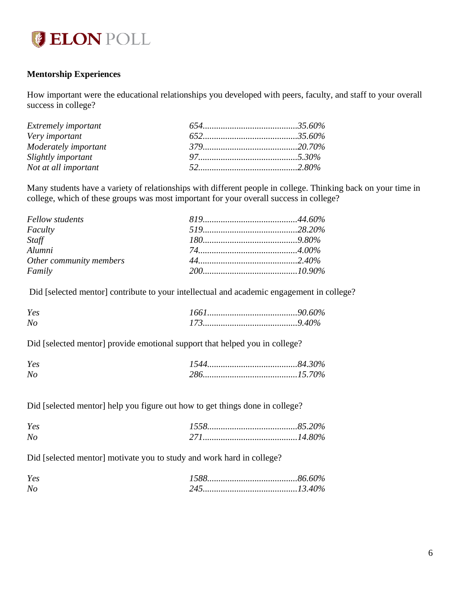

## <span id="page-6-0"></span>**Mentorship Experiences**

How important were the educational relationships you developed with peers, faculty, and staff to your overall success in college?

| <b>Extremely important</b> |  |
|----------------------------|--|
| Very important             |  |
| Moderately important       |  |
| Slightly important         |  |
| Not at all important       |  |

Many students have a variety of relationships with different people in college. Thinking back on your time in college, which of these groups was most important for your overall success in college?

| Fellow students         |  |
|-------------------------|--|
| Faculty                 |  |
| Staff                   |  |
| Alumni                  |  |
| Other community members |  |
| Family                  |  |

Did [selected mentor] contribute to your intellectual and academic engagement in college?

| Yes            |  |
|----------------|--|
| N <sub>0</sub> |  |

Did [selected mentor] provide emotional support that helped you in college?

| Yes |           |  |
|-----|-----------|--|
|     | $15.70\%$ |  |

Did [selected mentor] help you figure out how to get things done in college?

| Yes            | $\delta$ 5.20% |  |
|----------------|----------------|--|
| N <sub>c</sub> | $14.80\%$      |  |

Did [selected mentor] motivate you to study and work hard in college?

| Yes |  |
|-----|--|
| Nc  |  |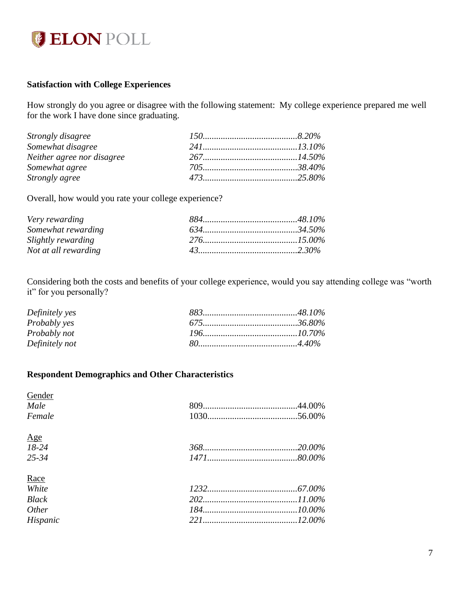

## **Satisfaction with College Experiences**

How strongly do you agree or disagree with the following statement: My college experience prepared me well for the work I have done since graduating.

| Strongly disagree          |  |
|----------------------------|--|
| Somewhat disagree          |  |
| Neither agree nor disagree |  |
| Somewhat agree             |  |
| Strongly agree             |  |

Overall, how would you rate your college experience?

| Very rewarding       |  |
|----------------------|--|
| Somewhat rewarding   |  |
| Slightly rewarding   |  |
| Not at all rewarding |  |

Considering both the costs and benefits of your college experience, would you say attending college was "worth it" for you personally?

| Definitely yes      |  |
|---------------------|--|
| <i>Probably yes</i> |  |
| Probably not        |  |
| Definitely not      |  |

## <span id="page-7-0"></span>**Respondent Demographics and Other Characteristics**

| Gender            |  |
|-------------------|--|
| Male              |  |
| Female            |  |
| $\underline{Age}$ |  |
| $18-24$           |  |
| $25 - 34$         |  |
| Race              |  |
| White             |  |
| <b>Black</b>      |  |
| Other             |  |
| Hispanic          |  |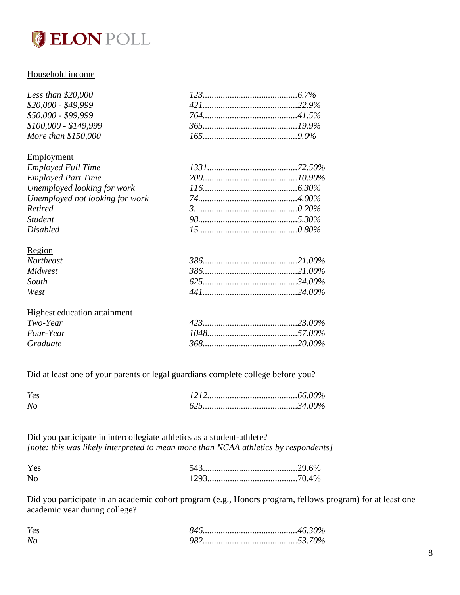

## Household income

| Less than $$20,000$   |  |
|-----------------------|--|
| $$20,000 - $49,999$   |  |
| $$50,000 - $99,999$   |  |
| $$100,000 - $149,999$ |  |
| More than \$150,000   |  |

#### Employment

| <b>Employed Full Time</b>       |  |
|---------------------------------|--|
| <b>Employed Part Time</b>       |  |
| Unemployed looking for work     |  |
| Unemployed not looking for work |  |
| Retired                         |  |
| <b>Student</b>                  |  |
| <b>Disabled</b>                 |  |
| Dogion                          |  |

| <b>NUXIOII</b>   |  |
|------------------|--|
| <b>Northeast</b> |  |
| Midwest          |  |
| South            |  |
| West             |  |
|                  |  |

| Highest education attainment |  |
|------------------------------|--|
| Two-Year                     |  |
| <i>Four-Year</i>             |  |
| Graduate                     |  |

Did at least one of your parents or legal guardians complete college before you?

| Yes |  |
|-----|--|
| No  |  |

Did you participate in intercollegiate athletics as a student-athlete? *[note: this was likely interpreted to mean more than NCAA athletics by respondents]*

| Yes |  |
|-----|--|
| N   |  |

Did you participate in an academic cohort program (e.g., Honors program, fellows program) for at least one academic year during college?

| Yes |            |  |
|-----|------------|--|
|     | $1.3370\%$ |  |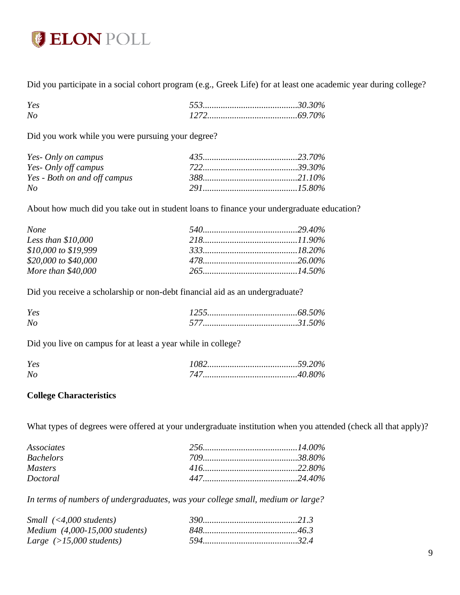

Did you participate in a social cohort program (e.g., Greek Life) for at least one academic year during college?

| Yes       |  |
|-----------|--|
| $N_{\rm}$ |  |

Did you work while you were pursuing your degree?

| Yes- Only on campus          |  |
|------------------------------|--|
| <i>Yes- Only off campus</i>  |  |
| Yes - Both on and off campus |  |
| No                           |  |

About how much did you take out in student loans to finance your undergraduate education?

| <b>None</b>          |                 |
|----------------------|-----------------|
| Less than $$10,000$  |                 |
| \$10,000 to \$19,999 | $333$ $18.20\%$ |
| \$20,000 to \$40,000 |                 |
| More than \$40,000   |                 |

Did you receive a scholarship or non-debt financial aid as an undergraduate?

| Yes          |  |
|--------------|--|
| $\mathbf{N}$ |  |

Did you live on campus for at least a year while in college?

| Yes |  |
|-----|--|
| Nc  |  |

#### **College Characteristics**

What types of degrees were offered at your undergraduate institution when you attended (check all that apply)?

| Associates       |  |
|------------------|--|
| <b>Bachelors</b> |  |
| <i>Masters</i>   |  |
| Doctoral         |  |

*In terms of numbers of undergraduates, was your college small, medium or large?*

| $Small$ (<4,000 students)                       |  |
|-------------------------------------------------|--|
| <i>Medium</i> $(4,000-15,000$ <i>students</i> ) |  |
| Large $(>15,000$ students)                      |  |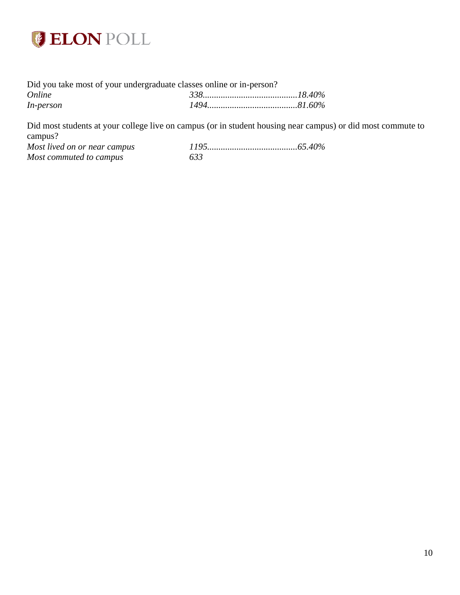

| Did you take most of your undergraduate classes online or in-person? |  |  |  |
|----------------------------------------------------------------------|--|--|--|
| Online                                                               |  |  |  |
| <i>In-person</i>                                                     |  |  |  |

Did most students at your college live on campus (or in student housing near campus) or did most commute to campus?<br>Most lived on or near campus *Most lived on or near campus 1195........................................65.40%*

*Most commuted to campus 633*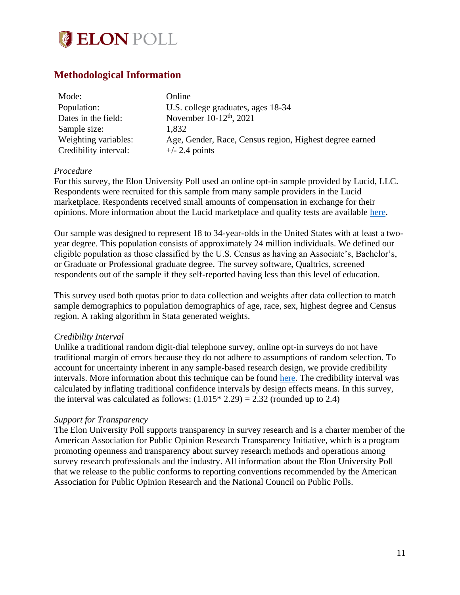

## <span id="page-11-0"></span>**Methodological Information**

| Mode:                 | Online                                                  |
|-----------------------|---------------------------------------------------------|
| Population:           | U.S. college graduates, ages 18-34                      |
| Dates in the field:   | November 10-12 <sup>th</sup> , 2021                     |
| Sample size:          | 1,832                                                   |
| Weighting variables:  | Age, Gender, Race, Census region, Highest degree earned |
| Credibility interval: | $+/- 2.4$ points                                        |

#### *Procedure*

For this survey, the Elon University Poll used an online opt-in sample provided by Lucid, LLC. Respondents were recruited for this sample from many sample providers in the Lucid marketplace. Respondents received small amounts of compensation in exchange for their opinions. More information about the Lucid marketplace and quality tests are available [here.](https://luc.id/quality/)

Our sample was designed to represent 18 to 34-year-olds in the United States with at least a twoyear degree. This population consists of approximately 24 million individuals. We defined our eligible population as those classified by the U.S. Census as having an Associate's, Bachelor's, or Graduate or Professional graduate degree. The survey software, Qualtrics, screened respondents out of the sample if they self-reported having less than this level of education.

This survey used both quotas prior to data collection and weights after data collection to match sample demographics to population demographics of age, race, sex, highest degree and Census region. A raking algorithm in Stata generated weights.

#### *Credibility Interval*

Unlike a traditional random digit-dial telephone survey, online opt-in surveys do not have traditional margin of errors because they do not adhere to assumptions of random selection. To account for uncertainty inherent in any sample-based research design, we provide credibility intervals. More information about this technique can be found [here.](https://www.aapor.org/Education-Resources/Election-Polling-Resources/Margin-of-Sampling-Error-Credibility-Interval.aspx) The credibility interval was calculated by inflating traditional confidence intervals by design effects means. In this survey, the interval was calculated as follows:  $(1.015 * 2.29) = 2.32$  (rounded up to 2.4)

## *Support for Transparency*

The Elon University Poll supports transparency in survey research and is a charter member of the American Association for Public Opinion Research Transparency Initiative, which is a program promoting openness and transparency about survey research methods and operations among survey research professionals and the industry. All information about the Elon University Poll that we release to the public conforms to reporting conventions recommended by the American Association for Public Opinion Research and the National Council on Public Polls.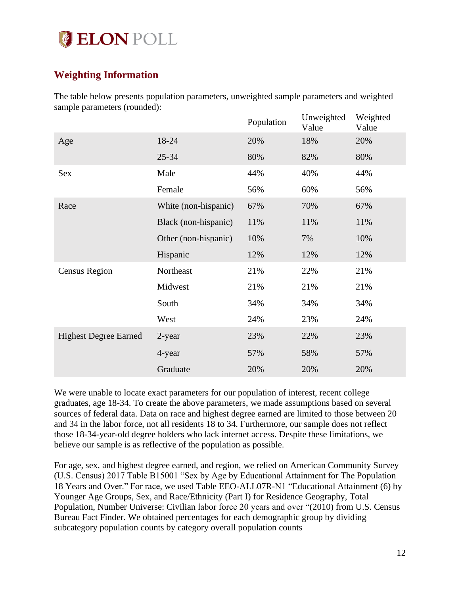

# <span id="page-12-0"></span>**Weighting Information**

The table below presents population parameters, unweighted sample parameters and weighted sample parameters (rounded):  $\overline{\phantom{a}}$ 

|                              |                      | Population | Unweighted<br>Value | Weighted<br>Value |
|------------------------------|----------------------|------------|---------------------|-------------------|
| Age                          | 18-24                | 20%        | 18%                 | 20%               |
|                              | $25 - 34$            | 80%        | 82%                 | 80%               |
| Sex                          | Male                 | 44%        | 40%                 | 44%               |
|                              | Female               | 56%        | 60%                 | 56%               |
| Race                         | White (non-hispanic) | 67%        | 70%                 | 67%               |
|                              | Black (non-hispanic) | 11%        | 11%                 | 11%               |
|                              | Other (non-hispanic) | 10%        | 7%                  | 10%               |
|                              | Hispanic             | 12%        | 12%                 | 12%               |
| <b>Census Region</b>         | Northeast            | 21%        | 22%                 | 21%               |
|                              | Midwest              | 21%        | 21%                 | 21%               |
|                              | South                | 34%        | 34%                 | 34%               |
|                              | West                 | 24%        | 23%                 | 24%               |
| <b>Highest Degree Earned</b> | 2-year               | 23%        | 22%                 | 23%               |
|                              | 4-year               | 57%        | 58%                 | 57%               |
|                              | Graduate             | 20%        | 20%                 | 20%               |

We were unable to locate exact parameters for our population of interest, recent college graduates, age 18-34. To create the above parameters, we made assumptions based on several sources of federal data. Data on race and highest degree earned are limited to those between 20 and 34 in the labor force, not all residents 18 to 34. Furthermore, our sample does not reflect those 18-34-year-old degree holders who lack internet access. Despite these limitations, we believe our sample is as reflective of the population as possible.

For age, sex, and highest degree earned, and region, we relied on American Community Survey (U.S. Census) 2017 Table B15001 "Sex by Age by Educational Attainment for The Population 18 Years and Over." For race, we used Table EEO-ALL07R-N1 "Educational Attainment (6) by Younger Age Groups, Sex, and Race/Ethnicity (Part I) for Residence Geography, Total Population, Number Universe: Civilian labor force 20 years and over "(2010) from U.S. Census Bureau Fact Finder. We obtained percentages for each demographic group by dividing subcategory population counts by category overall population counts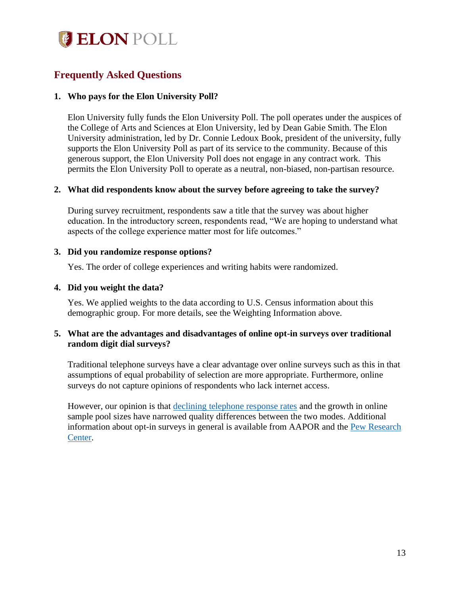

# <span id="page-13-0"></span>**Frequently Asked Questions**

## **1. Who pays for the Elon University Poll?**

Elon University fully funds the Elon University Poll. The poll operates under the auspices of the College of Arts and Sciences at Elon University, led by Dean Gabie Smith. The Elon University administration, led by Dr. Connie Ledoux Book, president of the university, fully supports the Elon University Poll as part of its service to the community. Because of this generous support, the Elon University Poll does not engage in any contract work. This permits the Elon University Poll to operate as a neutral, non-biased, non-partisan resource.

## **2. What did respondents know about the survey before agreeing to take the survey?**

During survey recruitment, respondents saw a title that the survey was about higher education. In the introductory screen, respondents read, "We are hoping to understand what aspects of the college experience matter most for life outcomes."

#### **3. Did you randomize response options?**

Yes. The order of college experiences and writing habits were randomized.

#### **4. Did you weight the data?**

Yes. We applied weights to the data according to U.S. Census information about this demographic group. For more details, see the Weighting Information above.

## **5. What are the advantages and disadvantages of online opt-in surveys over traditional random digit dial surveys?**

Traditional telephone surveys have a clear advantage over online surveys such as this in that assumptions of equal probability of selection are more appropriate. Furthermore, online surveys do not capture opinions of respondents who lack internet access.

However, our opinion is that [declining telephone response rates](http://www.pewresearch.org/fact-tank/2019/02/27/response-rates-in-telephone-surveys-have-resumed-their-decline/) and the growth in online sample pool sizes have narrowed quality differences between the two modes. Additional information about opt-in surveys in general is available from AAPOR and the [Pew Research](http://www.pewresearch.org/fact-tank/2018/08/06/what-are-nonprobability-surveys/)  [Center.](http://www.pewresearch.org/fact-tank/2018/08/06/what-are-nonprobability-surveys/)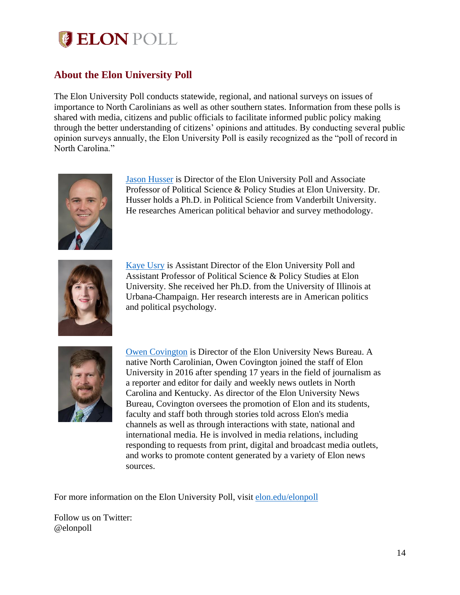

# <span id="page-14-0"></span>**About the Elon University Poll**

The Elon University Poll conducts statewide, regional, and national surveys on issues of importance to North Carolinians as well as other southern states. Information from these polls is shared with media, citizens and public officials to facilitate informed public policy making through the better understanding of citizens' opinions and attitudes. By conducting several public opinion surveys annually, the Elon University Poll is easily recognized as the "poll of record in North Carolina."



[Jason Husser](http://www.elon.edu/directories/profile/?user=jhusser) is Director of the Elon University Poll and Associate Professor of Political Science & Policy Studies at Elon University. Dr. Husser holds a Ph.D. in Political Science from Vanderbilt University. He researches American political behavior and survey methodology.



[Kaye Usry](https://www.elon.edu/u/directory/profile/?user=kusry) is Assistant Director of the Elon University Poll and Assistant Professor of Political Science & Policy Studies at Elon University. She received her Ph.D. from the University of Illinois at Urbana-Champaign. Her research interests are in American politics and political psychology.



[Owen Covington](https://www.elon.edu/u/directory/profile/?user=ocovington) is Director of the Elon University News Bureau. A native North Carolinian, Owen Covington joined the staff of Elon University in 2016 after spending 17 years in the field of journalism as a reporter and editor for daily and weekly news outlets in North Carolina and Kentucky. As director of the Elon University News Bureau, Covington oversees the promotion of Elon and its students, faculty and staff both through stories told across Elon's media channels as well as through interactions with state, national and international media. He is involved in media relations, including responding to requests from print, digital and broadcast media outlets, and works to promote content generated by a variety of Elon news sources.

For more information on the Elon University Poll, visit [elon.edu/elonpoll](https://www.elon.edu/e/elon-poll/about-the-poll.html)

Follow us on Twitter: @elonpoll